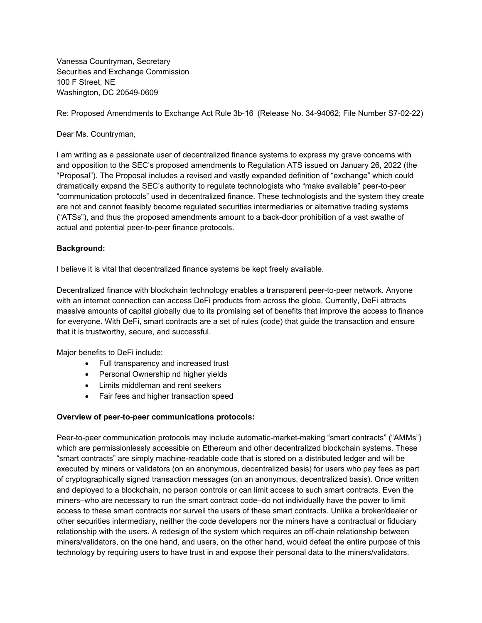Vanessa Countryman, Secretary Securities and Exchange Commission 100 F Street, NE Washington, DC 20549-0609

Re: Proposed Amendments to Exchange Act Rule 3b-16 (Release No. 34-94062; File Number S7-02-22)

## Dear Ms. Countryman,

I am writing as a passionate user of decentralized finance systems to express my grave concerns with and opposition to the SEC's proposed amendments to Regulation ATS issued on January 26, 2022 (the "Proposal"). The Proposal includes a revised and vastly expanded definition of "exchange" which could dramatically expand the SEC's authority to regulate technologists who "make available" peer-to-peer "communication protocols" used in decentralized finance. These technologists and the system they create are not and cannot feasibly become regulated securities intermediaries or alternative trading systems ("ATSs"), and thus the proposed amendments amount to a back-door prohibition of a vast swathe of actual and potential peer-to-peer finance protocols.

## **Background:**

I believe it is vital that decentralized finance systems be kept freely available.

Decentralized finance with blockchain technology enables a transparent peer-to-peer network. Anyone with an internet connection can access DeFi products from across the globe. Currently, DeFi attracts massive amounts of capital globally due to its promising set of benefits that improve the access to finance for everyone. With DeFi, smart contracts are a set of rules (code) that guide the transaction and ensure that it is trustworthy, secure, and successful.

Major benefits to DeFi include:

- Full transparency and increased trust
- Personal Ownership nd higher yields
- Limits middleman and rent seekers
- Fair fees and higher transaction speed

## **Overview of peer-to-peer communications protocols:**

Peer-to-peer communication protocols may include automatic-market-making "smart contracts" ("AMMs") which are permissionlessly accessible on Ethereum and other decentralized blockchain systems. These "smart contracts" are simply machine-readable code that is stored on a distributed ledger and will be executed by miners or validators (on an anonymous, decentralized basis) for users who pay fees as part of cryptographically signed transaction messages (on an anonymous, decentralized basis). Once written and deployed to a blockchain, no person controls or can limit access to such smart contracts. Even the miners–who are necessary to run the smart contract code–do not individually have the power to limit access to these smart contracts nor surveil the users of these smart contracts. Unlike a broker/dealer or other securities intermediary, neither the code developers nor the miners have a contractual or fiduciary relationship with the users. A redesign of the system which requires an off-chain relationship between miners/validators, on the one hand, and users, on the other hand, would defeat the entire purpose of this technology by requiring users to have trust in and expose their personal data to the miners/validators.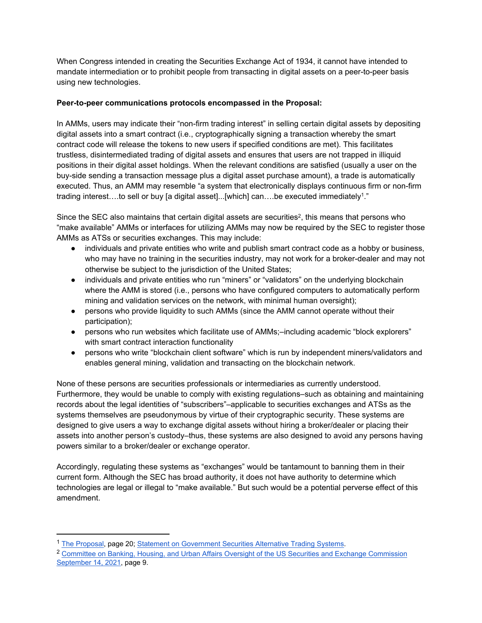When Congress intended in creating the Securities Exchange Act of 1934, it cannot have intended to mandate intermediation or to prohibit people from transacting in digital assets on a peer-to-peer basis using new technologies.

## **Peer-to-peer communications protocols encompassed in the Proposal:**

In AMMs, users may indicate their "non-firm trading interest" in selling certain digital assets by depositing digital assets into a smart contract (i.e., cryptographically signing a transaction whereby the smart contract code will release the tokens to new users if specified conditions are met). This facilitates trustless, disintermediated trading of digital assets and ensures that users are not trapped in illiquid positions in their digital asset holdings. When the relevant conditions are satisfied (usually a user on the buy-side sending a transaction message plus a digital asset purchase amount), a trade is automatically executed. Thus, an AMM may resemble "a system that electronically displays continuous firm or non-firm trading interest….to sell or buy [a digital asset]...[which] can….be executed immediately<sup>1</sup> ."

Since the SEC also maintains that certain digital assets are securities<sup>2</sup>, this means that persons who "make available" AMMs or interfaces for utilizing AMMs may now be required by the SEC to register those AMMs as ATSs or securities exchanges. This may include:

- individuals and private entities who write and publish smart contract code as a hobby or business, who may have no training in the securities industry, may not work for a broker-dealer and may not otherwise be subject to the jurisdiction of the United States;
- individuals and private entities who run "miners" or "validators" on the underlying blockchain where the AMM is stored (i.e., persons who have configured computers to automatically perform mining and validation services on the network, with minimal human oversight);
- persons who provide liquidity to such AMMs (since the AMM cannot operate without their participation);
- persons who run websites which facilitate use of AMMs;-including academic "block explorers" with smart contract interaction functionality
- persons who write "blockchain client software" which is run by independent miners/validators and enables general mining, validation and transacting on the blockchain network.

None of these persons are securities professionals or intermediaries as currently understood. Furthermore, they would be unable to comply with existing regulations–such as obtaining and maintaining records about the legal identities of "subscribers"–applicable to securities exchanges and ATSs as the systems themselves are pseudonymous by virtue of their cryptographic security. These systems are designed to give users a way to exchange digital assets without hiring a broker/dealer or placing their assets into another person's custody–thus, these systems are also designed to avoid any persons having powers similar to a broker/dealer or exchange operator.

Accordingly, regulating these systems as "exchanges" would be tantamount to banning them in their current form. Although the SEC has broad authority, it does not have authority to determine which technologies are legal or illegal to "make available." But such would be a potential perverse effect of this amendment.

<sup>1</sup> [The Proposal,](https://www.sec.gov/rules/proposed/2022/34-94062.pdf) page 20; [Statement on Government Securities Alternative Trading Systems](https://www.sec.gov/news/statement/gensler-ats-20220126).

<sup>&</sup>lt;sup>2</sup> Committee on Banking, Housing, and Urban Affairs Oversight of the US Securities and Exchange Commission [September 14, 2021,](https://www.banking.senate.gov/imo/media/doc/gensler_responses_to_toomey_qfrs_on_crypto.pdf) page 9.